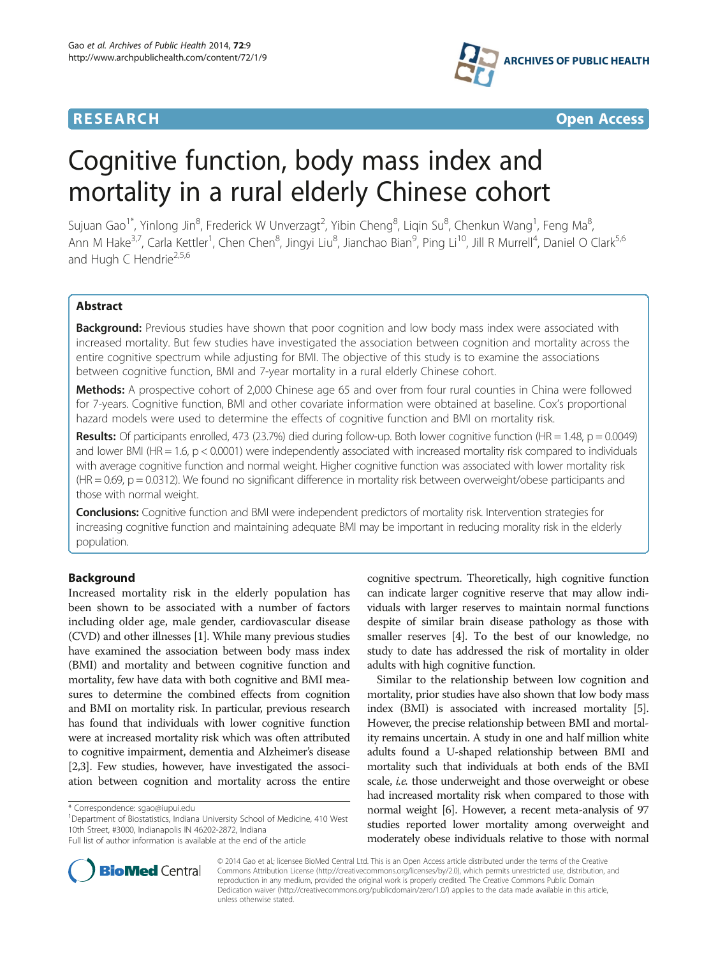

**RESEARCH CHINESE ARCH CHINESE ARCHITECT ARCHITECT ARCHITECT ARCHITECT ARCHITECT ARCHITECT ARCHITECT ARCHITECT ARCHITECT ARCHITECT ARCHITECT ARCHITECT ARCHITECT ARCHITECT ARCHITECT ARCHITECT ARCHITECT ARCHITECT ARCHITE** 

# Cognitive function, body mass index and mortality in a rural elderly Chinese cohort

Sujuan Gao $^{1^*}$ , Yinlong Jin $^8$ , Frederick W Unverzagt $^2$ , Yibin Cheng $^8$ , Liqin Su $^8$ , Chenkun Wang $^1$ , Feng Ma $^8$ , Ann M Hake<sup>3,7</sup>, Carla Kettler<sup>1</sup>, Chen Chen<sup>8</sup>, Jingyi Liu<sup>8</sup>, Jianchao Bian<sup>9</sup>, Ping Li<sup>10</sup>, Jill R Murrell<sup>4</sup>, Daniel O Clark<sup>5,6</sup> and Hugh C Hendrie $2,5,6$ 

# Abstract

**Background:** Previous studies have shown that poor cognition and low body mass index were associated with increased mortality. But few studies have investigated the association between cognition and mortality across the entire cognitive spectrum while adjusting for BMI. The objective of this study is to examine the associations between cognitive function, BMI and 7-year mortality in a rural elderly Chinese cohort.

Methods: A prospective cohort of 2,000 Chinese age 65 and over from four rural counties in China were followed for 7-years. Cognitive function, BMI and other covariate information were obtained at baseline. Cox's proportional hazard models were used to determine the effects of cognitive function and BMI on mortality risk.

Results: Of participants enrolled, 473 (23.7%) died during follow-up. Both lower cognitive function (HR = 1.48,  $p = 0.0049$ ) and lower BMI (HR = 1.6, p < 0.0001) were independently associated with increased mortality risk compared to individuals with average cognitive function and normal weight. Higher cognitive function was associated with lower mortality risk  $(HR = 0.69, p = 0.0312)$ . We found no significant difference in mortality risk between overweight/obese participants and those with normal weight.

**Conclusions:** Cognitive function and BMI were independent predictors of mortality risk. Intervention strategies for increasing cognitive function and maintaining adequate BMI may be important in reducing morality risk in the elderly population.

# Background

Increased mortality risk in the elderly population has been shown to be associated with a number of factors including older age, male gender, cardiovascular disease (CVD) and other illnesses [[1\]](#page-6-0). While many previous studies have examined the association between body mass index (BMI) and mortality and between cognitive function and mortality, few have data with both cognitive and BMI measures to determine the combined effects from cognition and BMI on mortality risk. In particular, previous research has found that individuals with lower cognitive function were at increased mortality risk which was often attributed to cognitive impairment, dementia and Alzheimer's disease [[2,3](#page-6-0)]. Few studies, however, have investigated the association between cognition and mortality across the entire

<sup>1</sup>Department of Biostatistics, Indiana University School of Medicine, 410 West 10th Street, #3000, Indianapolis IN 46202-2872, Indiana

cognitive spectrum. Theoretically, high cognitive function can indicate larger cognitive reserve that may allow individuals with larger reserves to maintain normal functions despite of similar brain disease pathology as those with smaller reserves [\[4\]](#page-6-0). To the best of our knowledge, no study to date has addressed the risk of mortality in older adults with high cognitive function.

Similar to the relationship between low cognition and mortality, prior studies have also shown that low body mass index (BMI) is associated with increased mortality [[5](#page-6-0)]. However, the precise relationship between BMI and mortality remains uncertain. A study in one and half million white adults found a U-shaped relationship between BMI and mortality such that individuals at both ends of the BMI scale, *i.e.* those underweight and those overweight or obese had increased mortality risk when compared to those with normal weight [[6\]](#page-6-0). However, a recent meta-analysis of 97 studies reported lower mortality among overweight and moderately obese individuals relative to those with normal



© 2014 Gao et al.; licensee BioMed Central Ltd. This is an Open Access article distributed under the terms of the Creative Commons Attribution License [\(http://creativecommons.org/licenses/by/2.0\)](http://creativecommons.org/licenses/by/2.0), which permits unrestricted use, distribution, and reproduction in any medium, provided the original work is properly credited. The Creative Commons Public Domain Dedication waiver [\(http://creativecommons.org/publicdomain/zero/1.0/](http://creativecommons.org/publicdomain/zero/1.0/)) applies to the data made available in this article, unless otherwise stated.

<sup>\*</sup> Correspondence: [sgao@iupui.edu](mailto:sgao@iupui.edu) <sup>1</sup>

Full list of author information is available at the end of the article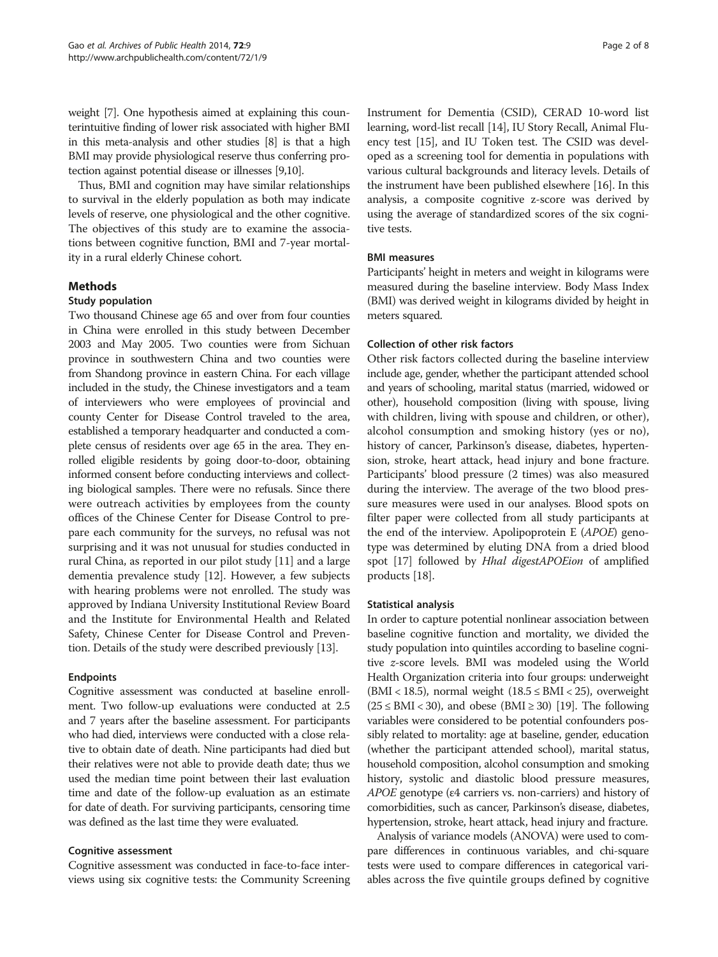weight [\[7\]](#page-6-0). One hypothesis aimed at explaining this counterintuitive finding of lower risk associated with higher BMI in this meta-analysis and other studies [\[8](#page-6-0)] is that a high BMI may provide physiological reserve thus conferring protection against potential disease or illnesses [\[9,10](#page-6-0)].

Thus, BMI and cognition may have similar relationships to survival in the elderly population as both may indicate levels of reserve, one physiological and the other cognitive. The objectives of this study are to examine the associations between cognitive function, BMI and 7-year mortality in a rural elderly Chinese cohort.

# Methods

### Study population

Two thousand Chinese age 65 and over from four counties in China were enrolled in this study between December 2003 and May 2005. Two counties were from Sichuan province in southwestern China and two counties were from Shandong province in eastern China. For each village included in the study, the Chinese investigators and a team of interviewers who were employees of provincial and county Center for Disease Control traveled to the area, established a temporary headquarter and conducted a complete census of residents over age 65 in the area. They enrolled eligible residents by going door-to-door, obtaining informed consent before conducting interviews and collecting biological samples. There were no refusals. Since there were outreach activities by employees from the county offices of the Chinese Center for Disease Control to prepare each community for the surveys, no refusal was not surprising and it was not unusual for studies conducted in rural China, as reported in our pilot study [\[11\]](#page-6-0) and a large dementia prevalence study [[12](#page-6-0)]. However, a few subjects with hearing problems were not enrolled. The study was approved by Indiana University Institutional Review Board and the Institute for Environmental Health and Related Safety, Chinese Center for Disease Control and Prevention. Details of the study were described previously [[13](#page-6-0)].

# Endpoints

Cognitive assessment was conducted at baseline enrollment. Two follow-up evaluations were conducted at 2.5 and 7 years after the baseline assessment. For participants who had died, interviews were conducted with a close relative to obtain date of death. Nine participants had died but their relatives were not able to provide death date; thus we used the median time point between their last evaluation time and date of the follow-up evaluation as an estimate for date of death. For surviving participants, censoring time was defined as the last time they were evaluated.

#### Cognitive assessment

Cognitive assessment was conducted in face-to-face interviews using six cognitive tests: the Community Screening Instrument for Dementia (CSID), CERAD 10-word list learning, word-list recall [[14](#page-6-0)], IU Story Recall, Animal Fluency test [\[15\]](#page-6-0), and IU Token test. The CSID was developed as a screening tool for dementia in populations with various cultural backgrounds and literacy levels. Details of the instrument have been published elsewhere [\[16](#page-6-0)]. In this analysis, a composite cognitive z-score was derived by using the average of standardized scores of the six cognitive tests.

### BMI measures

Participants' height in meters and weight in kilograms were measured during the baseline interview. Body Mass Index (BMI) was derived weight in kilograms divided by height in meters squared.

### Collection of other risk factors

Other risk factors collected during the baseline interview include age, gender, whether the participant attended school and years of schooling, marital status (married, widowed or other), household composition (living with spouse, living with children, living with spouse and children, or other), alcohol consumption and smoking history (yes or no), history of cancer, Parkinson's disease, diabetes, hypertension, stroke, heart attack, head injury and bone fracture. Participants' blood pressure (2 times) was also measured during the interview. The average of the two blood pressure measures were used in our analyses. Blood spots on filter paper were collected from all study participants at the end of the interview. Apolipoprotein E (APOE) genotype was determined by eluting DNA from a dried blood spot [\[17](#page-6-0)] followed by Hhal digestAPOEion of amplified products [[18](#page-6-0)].

#### Statistical analysis

In order to capture potential nonlinear association between baseline cognitive function and mortality, we divided the study population into quintiles according to baseline cognitive z-score levels. BMI was modeled using the World Health Organization criteria into four groups: underweight (BMI < 18.5), normal weight (18.5  $\leq$  BMI < 25), overweight  $(25 \leq BMI < 30)$ , and obese (BMI  $\geq 30$ ) [\[19](#page-6-0)]. The following variables were considered to be potential confounders possibly related to mortality: age at baseline, gender, education (whether the participant attended school), marital status, household composition, alcohol consumption and smoking history, systolic and diastolic blood pressure measures, APOE genotype (ε4 carriers vs. non-carriers) and history of comorbidities, such as cancer, Parkinson's disease, diabetes, hypertension, stroke, heart attack, head injury and fracture.

Analysis of variance models (ANOVA) were used to compare differences in continuous variables, and chi-square tests were used to compare differences in categorical variables across the five quintile groups defined by cognitive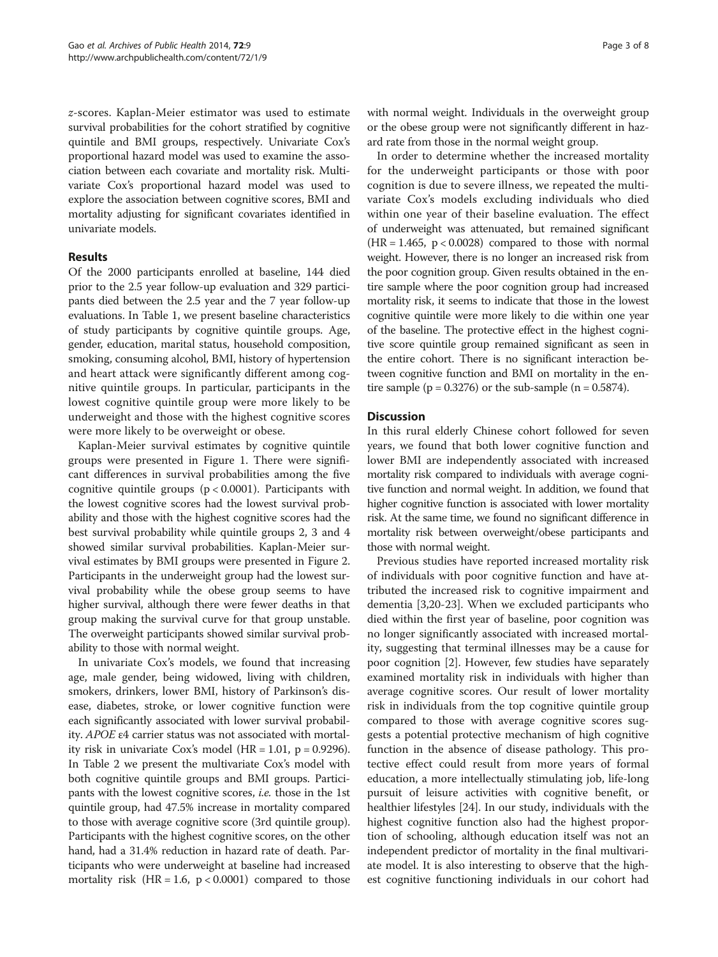z-scores. Kaplan-Meier estimator was used to estimate survival probabilities for the cohort stratified by cognitive quintile and BMI groups, respectively. Univariate Cox's proportional hazard model was used to examine the association between each covariate and mortality risk. Multivariate Cox's proportional hazard model was used to explore the association between cognitive scores, BMI and mortality adjusting for significant covariates identified in univariate models.

# Results

Of the 2000 participants enrolled at baseline, 144 died prior to the 2.5 year follow-up evaluation and 329 participants died between the 2.5 year and the 7 year follow-up evaluations. In Table [1](#page-3-0), we present baseline characteristics of study participants by cognitive quintile groups. Age, gender, education, marital status, household composition, smoking, consuming alcohol, BMI, history of hypertension and heart attack were significantly different among cognitive quintile groups. In particular, participants in the lowest cognitive quintile group were more likely to be underweight and those with the highest cognitive scores were more likely to be overweight or obese.

Kaplan-Meier survival estimates by cognitive quintile groups were presented in Figure [1.](#page-4-0) There were significant differences in survival probabilities among the five cognitive quintile groups (p < 0.0001). Participants with the lowest cognitive scores had the lowest survival probability and those with the highest cognitive scores had the best survival probability while quintile groups 2, 3 and 4 showed similar survival probabilities. Kaplan-Meier survival estimates by BMI groups were presented in Figure [2](#page-4-0). Participants in the underweight group had the lowest survival probability while the obese group seems to have higher survival, although there were fewer deaths in that group making the survival curve for that group unstable. The overweight participants showed similar survival probability to those with normal weight.

In univariate Cox's models, we found that increasing age, male gender, being widowed, living with children, smokers, drinkers, lower BMI, history of Parkinson's disease, diabetes, stroke, or lower cognitive function were each significantly associated with lower survival probability. APOE ε4 carrier status was not associated with mortality risk in univariate Cox's model (HR =  $1.01$ , p = 0.9296). In Table [2](#page-5-0) we present the multivariate Cox's model with both cognitive quintile groups and BMI groups. Participants with the lowest cognitive scores, i.e. those in the 1st quintile group, had 47.5% increase in mortality compared to those with average cognitive score (3rd quintile group). Participants with the highest cognitive scores, on the other hand, had a 31.4% reduction in hazard rate of death. Participants who were underweight at baseline had increased mortality risk (HR = 1.6,  $p < 0.0001$ ) compared to those

with normal weight. Individuals in the overweight group or the obese group were not significantly different in hazard rate from those in the normal weight group.

In order to determine whether the increased mortality for the underweight participants or those with poor cognition is due to severe illness, we repeated the multivariate Cox's models excluding individuals who died within one year of their baseline evaluation. The effect of underweight was attenuated, but remained significant  $(HR = 1.465, p < 0.0028)$  compared to those with normal weight. However, there is no longer an increased risk from the poor cognition group. Given results obtained in the entire sample where the poor cognition group had increased mortality risk, it seems to indicate that those in the lowest cognitive quintile were more likely to die within one year of the baseline. The protective effect in the highest cognitive score quintile group remained significant as seen in the entire cohort. There is no significant interaction between cognitive function and BMI on mortality in the entire sample ( $p = 0.3276$ ) or the sub-sample ( $n = 0.5874$ ).

# **Discussion**

In this rural elderly Chinese cohort followed for seven years, we found that both lower cognitive function and lower BMI are independently associated with increased mortality risk compared to individuals with average cognitive function and normal weight. In addition, we found that higher cognitive function is associated with lower mortality risk. At the same time, we found no significant difference in mortality risk between overweight/obese participants and those with normal weight.

Previous studies have reported increased mortality risk of individuals with poor cognitive function and have attributed the increased risk to cognitive impairment and dementia [[3,20-23](#page-6-0)]. When we excluded participants who died within the first year of baseline, poor cognition was no longer significantly associated with increased mortality, suggesting that terminal illnesses may be a cause for poor cognition [\[2](#page-6-0)]. However, few studies have separately examined mortality risk in individuals with higher than average cognitive scores. Our result of lower mortality risk in individuals from the top cognitive quintile group compared to those with average cognitive scores suggests a potential protective mechanism of high cognitive function in the absence of disease pathology. This protective effect could result from more years of formal education, a more intellectually stimulating job, life-long pursuit of leisure activities with cognitive benefit, or healthier lifestyles [\[24\]](#page-6-0). In our study, individuals with the highest cognitive function also had the highest proportion of schooling, although education itself was not an independent predictor of mortality in the final multivariate model. It is also interesting to observe that the highest cognitive functioning individuals in our cohort had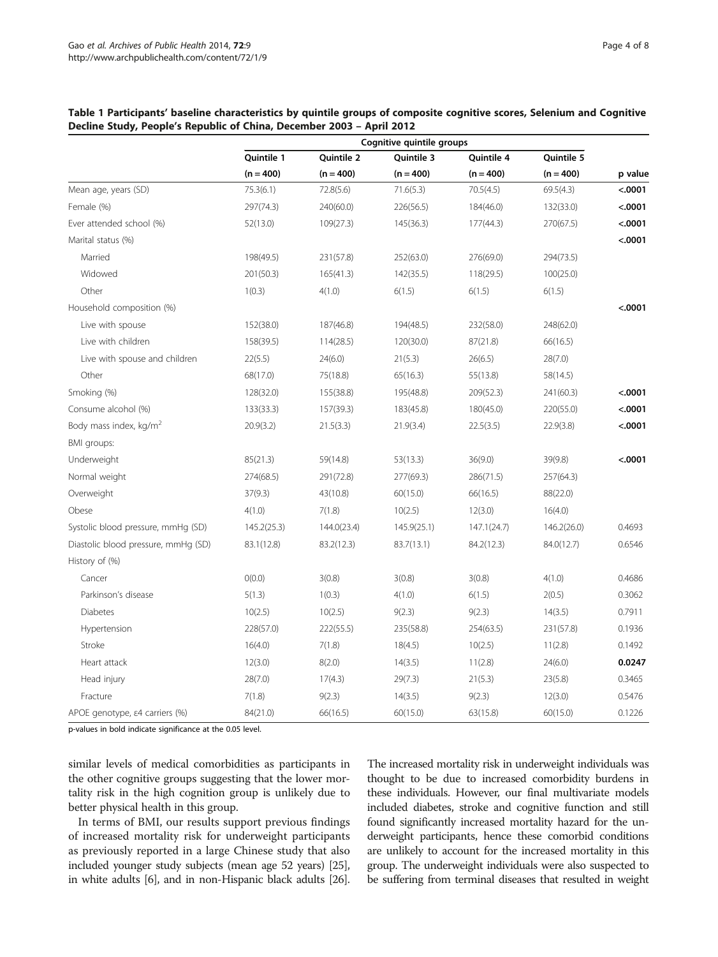|                                             |             | Cognitive quintile groups |             |             |             |         |  |
|---------------------------------------------|-------------|---------------------------|-------------|-------------|-------------|---------|--|
|                                             | Quintile 1  | Quintile 2                | Quintile 3  | Quintile 4  | Quintile 5  |         |  |
|                                             | $(n = 400)$ | $(n = 400)$               | $(n = 400)$ | $(n = 400)$ | $(n = 400)$ | p value |  |
| Mean age, years (SD)                        | 75.3(6.1)   | 72.8(5.6)                 | 71.6(5.3)   | 70.5(4.5)   | 69.5(4.3)   | < .0001 |  |
| Female (%)                                  | 297(74.3)   | 240(60.0)                 | 226(56.5)   | 184(46.0)   | 132(33.0)   | < .0001 |  |
| Ever attended school (%)                    | 52(13.0)    | 109(27.3)                 | 145(36.3)   | 177(44.3)   | 270(67.5)   | < .0001 |  |
| Marital status (%)                          |             |                           |             |             |             | < .0001 |  |
| Married                                     | 198(49.5)   | 231(57.8)                 | 252(63.0)   | 276(69.0)   | 294(73.5)   |         |  |
| Widowed                                     | 201(50.3)   | 165(41.3)                 | 142(35.5)   | 118(29.5)   | 100(25.0)   |         |  |
| Other                                       | 1(0.3)      | 4(1.0)                    | 6(1.5)      | 6(1.5)      | 6(1.5)      |         |  |
| Household composition (%)                   |             |                           |             |             |             | < .0001 |  |
| Live with spouse                            | 152(38.0)   | 187(46.8)                 | 194(48.5)   | 232(58.0)   | 248(62.0)   |         |  |
| Live with children                          | 158(39.5)   | 114(28.5)                 | 120(30.0)   | 87(21.8)    | 66(16.5)    |         |  |
| Live with spouse and children               | 22(5.5)     | 24(6.0)                   | 21(5.3)     | 26(6.5)     | 28(7.0)     |         |  |
| Other                                       | 68(17.0)    | 75(18.8)                  | 65(16.3)    | 55(13.8)    | 58(14.5)    |         |  |
| Smoking (%)                                 | 128(32.0)   | 155(38.8)                 | 195(48.8)   | 209(52.3)   | 241(60.3)   | < .0001 |  |
| Consume alcohol (%)                         | 133(33.3)   | 157(39.3)                 | 183(45.8)   | 180(45.0)   | 220(55.0)   | < .0001 |  |
| Body mass index, kg/m <sup>2</sup>          | 20.9(3.2)   | 21.5(3.3)                 | 21.9(3.4)   | 22.5(3.5)   | 22.9(3.8)   | < .0001 |  |
| BMI groups:                                 |             |                           |             |             |             |         |  |
| Underweight                                 | 85(21.3)    | 59(14.8)                  | 53(13.3)    | 36(9.0)     | 39(9.8)     | < .0001 |  |
| Normal weight                               | 274(68.5)   | 291(72.8)                 | 277(69.3)   | 286(71.5)   | 257(64.3)   |         |  |
| Overweight                                  | 37(9.3)     | 43(10.8)                  | 60(15.0)    | 66(16.5)    | 88(22.0)    |         |  |
| Obese                                       | 4(1.0)      | 7(1.8)                    | 10(2.5)     | 12(3.0)     | 16(4.0)     |         |  |
| Systolic blood pressure, mmHq (SD)          | 145.2(25.3) | 144.0(23.4)               | 145.9(25.1) | 147.1(24.7) | 146.2(26.0) | 0.4693  |  |
| Diastolic blood pressure, mmHq (SD)         | 83.1(12.8)  | 83.2(12.3)                | 83.7(13.1)  | 84.2(12.3)  | 84.0(12.7)  | 0.6546  |  |
| History of (%)                              |             |                           |             |             |             |         |  |
| Cancer                                      | O(0.0)      | 3(0.8)                    | 3(0.8)      | 3(0.8)      | 4(1.0)      | 0.4686  |  |
| Parkinson's disease                         | 5(1.3)      | 1(0.3)                    | 4(1.0)      | 6(1.5)      | 2(0.5)      | 0.3062  |  |
| <b>Diabetes</b>                             | 10(2.5)     | 10(2.5)                   | 9(2.3)      | 9(2.3)      | 14(3.5)     | 0.7911  |  |
| Hypertension                                | 228(57.0)   | 222(55.5)                 | 235(58.8)   | 254(63.5)   | 231(57.8)   | 0.1936  |  |
| Stroke                                      | 16(4.0)     | 7(1.8)                    | 18(4.5)     | 10(2.5)     | 11(2.8)     | 0.1492  |  |
| Heart attack                                | 12(3.0)     | 8(2.0)                    | 14(3.5)     | 11(2.8)     | 24(6.0)     | 0.0247  |  |
| Head injury                                 | 28(7.0)     | 17(4.3)                   | 29(7.3)     | 21(5.3)     | 23(5.8)     | 0.3465  |  |
| Fracture                                    | 7(1.8)      | 9(2.3)                    | 14(3.5)     | 9(2.3)      | 12(3.0)     | 0.5476  |  |
| APOE genotype, $\varepsilon$ 4 carriers (%) | 84(21.0)    | 66(16.5)                  | 60(15.0)    | 63(15.8)    | 60(15.0)    | 0.1226  |  |

#### <span id="page-3-0"></span>Table 1 Participants' baseline characteristics by quintile groups of composite cognitive scores, Selenium and Cognitive Decline Study, People's Republic of China, December 2003 – April 2012

p-values in bold indicate significance at the 0.05 level.

similar levels of medical comorbidities as participants in the other cognitive groups suggesting that the lower mortality risk in the high cognition group is unlikely due to better physical health in this group.

In terms of BMI, our results support previous findings of increased mortality risk for underweight participants as previously reported in a large Chinese study that also included younger study subjects (mean age 52 years) [\[25](#page-6-0)], in white adults [[6\]](#page-6-0), and in non-Hispanic black adults [\[26](#page-6-0)].

The increased mortality risk in underweight individuals was thought to be due to increased comorbidity burdens in these individuals. However, our final multivariate models included diabetes, stroke and cognitive function and still found significantly increased mortality hazard for the underweight participants, hence these comorbid conditions are unlikely to account for the increased mortality in this group. The underweight individuals were also suspected to be suffering from terminal diseases that resulted in weight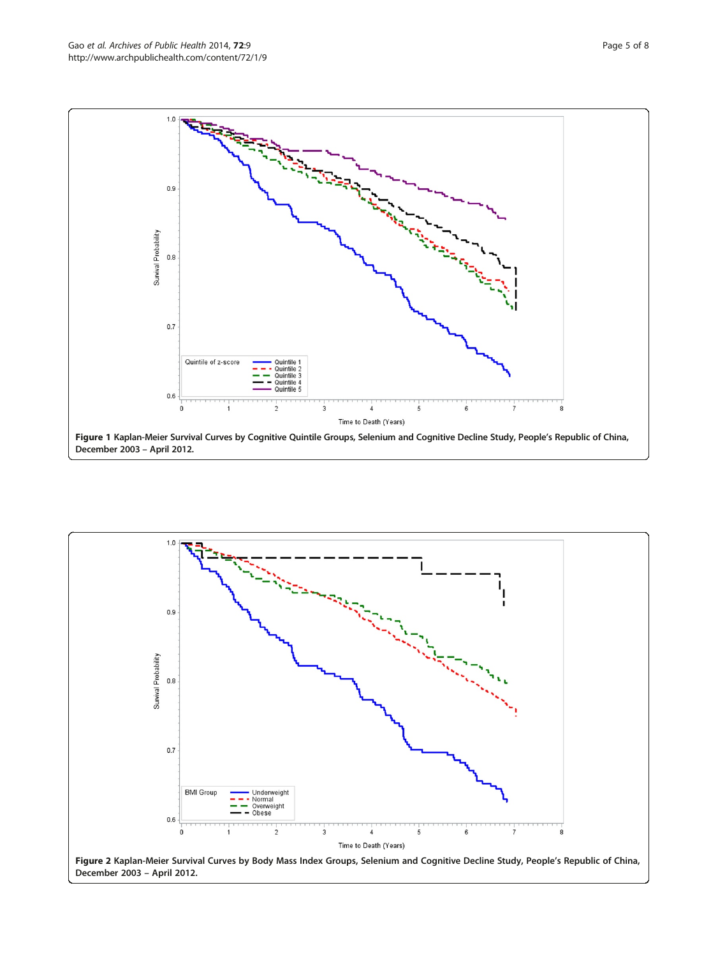<span id="page-4-0"></span>

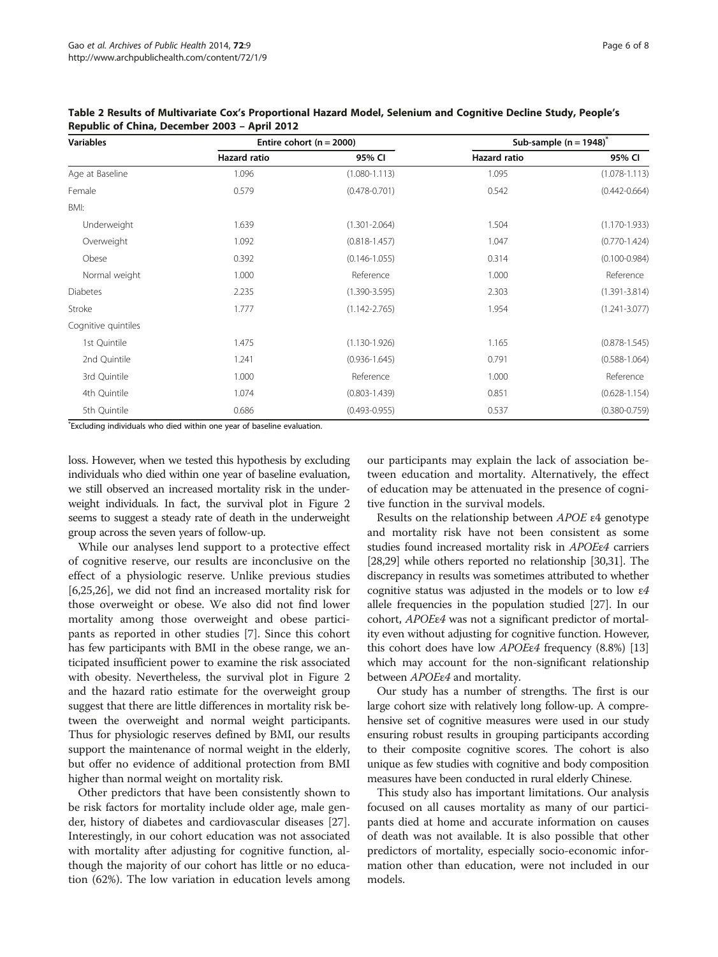| <b>Variables</b>    | Entire cohort ( $n = 2000$ ) |                   | Sub-sample $(n = 1948)^{*}$ |                   |
|---------------------|------------------------------|-------------------|-----------------------------|-------------------|
|                     | <b>Hazard ratio</b>          | 95% CI            | <b>Hazard ratio</b>         | 95% CI            |
| Age at Baseline     | 1.096                        | $(1.080 - 1.113)$ | 1.095                       | $(1.078 - 1.113)$ |
| Female              | 0.579                        | $(0.478 - 0.701)$ | 0.542                       | $(0.442 - 0.664)$ |
| BMI:                |                              |                   |                             |                   |
| Underweight         | 1.639                        | $(1.301 - 2.064)$ | 1.504                       | $(1.170 - 1.933)$ |
| Overweight          | 1.092                        | $(0.818 - 1.457)$ | 1.047                       | $(0.770 - 1.424)$ |
| Obese               | 0.392                        | $(0.146 - 1.055)$ | 0.314                       | $(0.100 - 0.984)$ |
| Normal weight       | 1.000                        | Reference         | 1.000                       | Reference         |
| <b>Diabetes</b>     | 2.235                        | $(1.390 - 3.595)$ | 2.303                       | $(1.391 - 3.814)$ |
| Stroke              | 1.777                        | $(1.142 - 2.765)$ | 1.954                       | $(1.241 - 3.077)$ |
| Cognitive quintiles |                              |                   |                             |                   |
| 1st Quintile        | 1.475                        | $(1.130 - 1.926)$ | 1.165                       | $(0.878 - 1.545)$ |
| 2nd Quintile        | 1.241                        | $(0.936 - 1.645)$ | 0.791                       | $(0.588 - 1.064)$ |
| 3rd Quintile        | 1.000                        | Reference         | 1.000                       | Reference         |
| 4th Quintile        | 1.074                        | $(0.803 - 1.439)$ | 0.851                       | $(0.628 - 1.154)$ |
| 5th Quintile        | 0.686                        | $(0.493 - 0.955)$ | 0.537                       | $(0.380 - 0.759)$ |

<span id="page-5-0"></span>Table 2 Results of Multivariate Cox's Proportional Hazard Model, Selenium and Cognitive Decline Study, People's Republic of China, December 2003 – April 2012

\* Excluding individuals who died within one year of baseline evaluation.

loss. However, when we tested this hypothesis by excluding individuals who died within one year of baseline evaluation, we still observed an increased mortality risk in the underweight individuals. In fact, the survival plot in Figure [2](#page-4-0) seems to suggest a steady rate of death in the underweight group across the seven years of follow-up.

While our analyses lend support to a protective effect of cognitive reserve, our results are inconclusive on the effect of a physiologic reserve. Unlike previous studies [[6,25,26\]](#page-6-0), we did not find an increased mortality risk for those overweight or obese. We also did not find lower mortality among those overweight and obese participants as reported in other studies [[7\]](#page-6-0). Since this cohort has few participants with BMI in the obese range, we anticipated insufficient power to examine the risk associated with obesity. Nevertheless, the survival plot in Figure [2](#page-4-0) and the hazard ratio estimate for the overweight group suggest that there are little differences in mortality risk between the overweight and normal weight participants. Thus for physiologic reserves defined by BMI, our results support the maintenance of normal weight in the elderly, but offer no evidence of additional protection from BMI higher than normal weight on mortality risk.

Other predictors that have been consistently shown to be risk factors for mortality include older age, male gender, history of diabetes and cardiovascular diseases [\[27](#page-6-0)]. Interestingly, in our cohort education was not associated with mortality after adjusting for cognitive function, although the majority of our cohort has little or no education (62%). The low variation in education levels among our participants may explain the lack of association between education and mortality. Alternatively, the effect of education may be attenuated in the presence of cognitive function in the survival models.

Results on the relationship between APOE ε4 genotype and mortality risk have not been consistent as some studies found increased mortality risk in APOEε4 carriers [[28,29\]](#page-6-0) while others reported no relationship [\[30,31\]](#page-7-0). The discrepancy in results was sometimes attributed to whether cognitive status was adjusted in the models or to low ε4 allele frequencies in the population studied [[27](#page-6-0)]. In our cohort, APOEε4 was not a significant predictor of mortality even without adjusting for cognitive function. However, this cohort does have low APOEε4 frequency (8.8%) [[13](#page-6-0)] which may account for the non-significant relationship between APOEε4 and mortality.

Our study has a number of strengths. The first is our large cohort size with relatively long follow-up. A comprehensive set of cognitive measures were used in our study ensuring robust results in grouping participants according to their composite cognitive scores. The cohort is also unique as few studies with cognitive and body composition measures have been conducted in rural elderly Chinese.

This study also has important limitations. Our analysis focused on all causes mortality as many of our participants died at home and accurate information on causes of death was not available. It is also possible that other predictors of mortality, especially socio-economic information other than education, were not included in our models.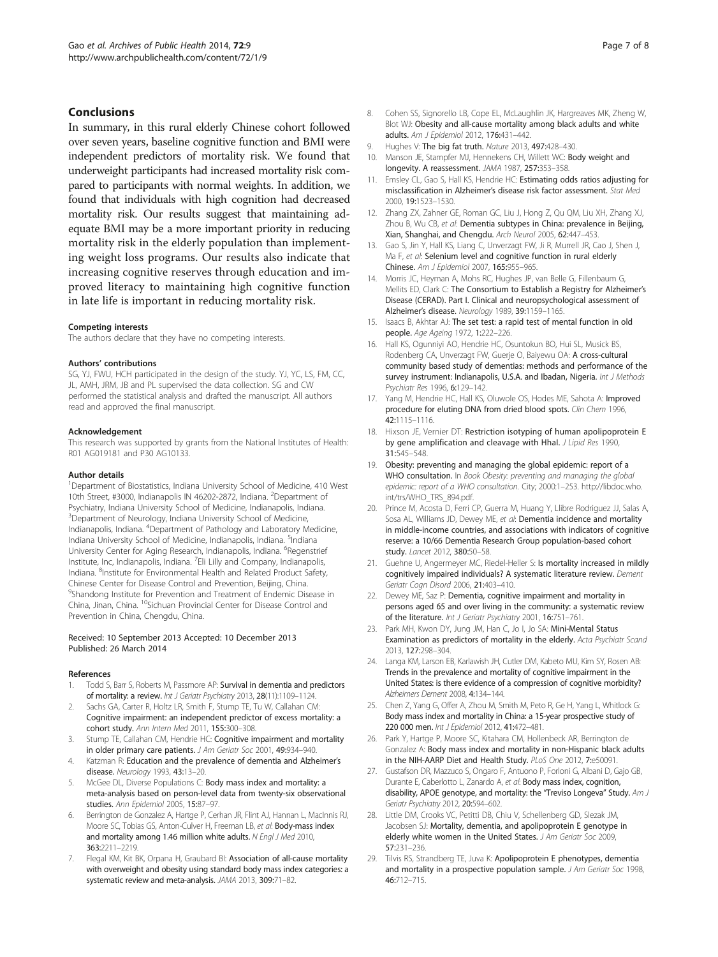#### <span id="page-6-0"></span>Conclusions

In summary, in this rural elderly Chinese cohort followed over seven years, baseline cognitive function and BMI were independent predictors of mortality risk. We found that underweight participants had increased mortality risk compared to participants with normal weights. In addition, we found that individuals with high cognition had decreased mortality risk. Our results suggest that maintaining adequate BMI may be a more important priority in reducing mortality risk in the elderly population than implementing weight loss programs. Our results also indicate that increasing cognitive reserves through education and improved literacy to maintaining high cognitive function in late life is important in reducing mortality risk.

#### Competing interests

The authors declare that they have no competing interests.

#### Authors' contributions

SG, YJ, FWU, HCH participated in the design of the study. YJ, YC, LS, FM, CC, JL, AMH, JRM, JB and PL supervised the data collection. SG and CW performed the statistical analysis and drafted the manuscript. All authors read and approved the final manuscript.

#### Acknowledgement

This research was supported by grants from the National Institutes of Health: R01 AG019181 and P30 AG10133.

#### Author details

<sup>1</sup>Department of Biostatistics, Indiana University School of Medicine, 410 West 10th Street, #3000, Indianapolis IN 46202-2872, Indiana. <sup>2</sup>Department of Psychiatry, Indiana University School of Medicine, Indianapolis, Indiana. <sup>3</sup>Department of Neurology, Indiana University School of Medicine, Indianapolis, Indiana. <sup>4</sup>Department of Pathology and Laboratory Medicine, Indiana University School of Medicine, Indianapolis, Indiana. <sup>5</sup>Indiana University Center for Aging Research, Indianapolis, Indiana. <sup>6</sup>Regenstrief Institute, Inc, Indianapolis, Indiana. <sup>7</sup>Eli Lilly and Company, Indianapolis, Indiana. <sup>8</sup>Institute for Environmental Health and Related Product Safety, Chinese Center for Disease Control and Prevention, Beijing, China. <sup>9</sup>Shandong Institute for Prevention and Treatment of Endemic Disease in China, Jinan, China. 10Sichuan Provincial Center for Disease Control and Prevention in China, Chengdu, China.

#### Received: 10 September 2013 Accepted: 10 December 2013 Published: 26 March 2014

#### References

- Todd S, Barr S, Roberts M, Passmore AP: Survival in dementia and predictors of mortality: a review. Int J Geriatr Psychiatry 2013, 28(11):1109–1124.
- Sachs GA, Carter R, Holtz LR, Smith F, Stump TE, Tu W, Callahan CM: Cognitive impairment: an independent predictor of excess mortality: a cohort study. Ann Intern Med 2011, 155:300–308.
- Stump TE, Callahan CM, Hendrie HC: Cognitive impairment and mortality in older primary care patients. J Am Geriatr Soc 2001, 49:934–940.
- 4. Katzman R: Education and the prevalence of dementia and Alzheimer's disease. Neurology 1993, 43:13–20.
- 5. McGee DL, Diverse Populations C: Body mass index and mortality: a meta-analysis based on person-level data from twenty-six observational studies. Ann Epidemiol 2005, 15:87–97.
- 6. Berrington de Gonzalez A, Hartge P, Cerhan JR, Flint AJ, Hannan L, MacInnis RJ, Moore SC, Tobias GS, Anton-Culver H, Freeman LB, et al: Body-mass index and mortality among 1.46 million white adults. N Engl J Med 2010, 363:2211–2219.
- 7. Flegal KM, Kit BK, Orpana H, Graubard BI: Association of all-cause mortality with overweight and obesity using standard body mass index categories: a systematic review and meta-analysis. JAMA 2013, 309:71–82.
- 8. Cohen SS, Signorello LB, Cope EL, McLaughlin JK, Hargreaves MK, Zheng W, Blot WJ: Obesity and all-cause mortality among black adults and white adults. Am J Epidemiol 2012, 176:431–442.
- 9. Hughes V: The big fat truth. Nature 2013, 497:428-430.
- 10. Manson JE, Stampfer MJ, Hennekens CH, Willett WC: Body weight and longevity. A reassessment. JAMA 1987, 257:353–358.
- 11. Emsley CL, Gao S, Hall KS, Hendrie HC: Estimating odds ratios adjusting for misclassification in Alzheimer's disease risk factor assessment. Stat Med 2000, 19:1523–1530.
- 12. Zhang ZX, Zahner GE, Roman GC, Liu J, Hong Z, Qu QM, Liu XH, Zhang XJ, Zhou B, Wu CB, et al: Dementia subtypes in China: prevalence in Beijing, Xian, Shanghai, and Chengdu. Arch Neurol 2005, 62:447–453.
- 13. Gao S, Jin Y, Hall KS, Liang C, Unverzagt FW, Ji R, Murrell JR, Cao J, Shen J, Ma F, et al: Selenium level and cognitive function in rural elderly Chinese. Am J Epidemiol 2007, 165:955–965.
- 14. Morris JC, Heyman A, Mohs RC, Hughes JP, van Belle G, Fillenbaum G, Mellits ED, Clark C: The Consortium to Establish a Registry for Alzheimer's Disease (CERAD). Part I. Clinical and neuropsychological assessment of Alzheimer's disease. Neurology 1989, 39:1159–1165.
- 15. Isaacs B, Akhtar AJ: The set test: a rapid test of mental function in old people. Age Ageing 1972, 1:222–226.
- 16. Hall KS, Ogunniyi AO, Hendrie HC, Osuntokun BO, Hui SL, Musick BS, Rodenberg CA, Unverzagt FW, Guerje O, Baiyewu OA: A cross-cultural community based study of dementias: methods and performance of the survey instrument: Indianapolis, U.S.A. and Ibadan, Nigeria. Int J Methods Psychiatr Res 1996, 6:129–142.
- 17. Yang M, Hendrie HC, Hall KS, Oluwole OS, Hodes ME, Sahota A: Improved procedure for eluting DNA from dried blood spots. Clin Chem 1996, 42:1115–1116.
- 18. Hixson JE, Vernier DT: Restriction isotyping of human apolipoprotein E by gene amplification and cleavage with Hhal. J Lipid Res 1990, 31:545–548.
- 19. Obesity: preventing and managing the global epidemic: report of a WHO consultation. In Book Obesity: preventing and managing the global epidemic: report of a WHO consultation. City; 2000:1–253. [http://libdoc.who.](http://libdoc.who.int/trs/WHO_TRS_894.pdf) [int/trs/WHO\\_TRS\\_894.pdf](http://libdoc.who.int/trs/WHO_TRS_894.pdf).
- 20. Prince M, Acosta D, Ferri CP, Guerra M, Huang Y, Llibre Rodriguez JJ, Salas A, Sosa AL, Williams JD, Dewey ME, et al: Dementia incidence and mortality in middle-income countries, and associations with indicators of cognitive reserve: a 10/66 Dementia Research Group population-based cohort study. Lancet 2012, 380:50–58.
- 21. Guehne U, Angermeyer MC, Riedel-Heller S: Is mortality increased in mildly cognitively impaired individuals? A systematic literature review. Dement Geriatr Cogn Disord 2006, 21:403–410.
- 22. Dewey ME, Saz P: Dementia, cognitive impairment and mortality in persons aged 65 and over living in the community: a systematic review of the literature. Int J Geriatr Psychiatry 2001, 16:751-761.
- 23. Park MH, Kwon DY, Jung JM, Han C, Jo I, Jo SA: Mini-Mental Status Examination as predictors of mortality in the elderly. Acta Psychiatr Scand 2013, 127:298–304.
- 24. Langa KM, Larson EB, Karlawish JH, Cutler DM, Kabeto MU, Kim SY, Rosen AB: Trends in the prevalence and mortality of cognitive impairment in the United States: is there evidence of a compression of cognitive morbidity? Alzheimers Dement 2008, 4:134–144.
- 25. Chen Z, Yang G, Offer A, Zhou M, Smith M, Peto R, Ge H, Yang L, Whitlock G: Body mass index and mortality in China: a 15-year prospective study of 220 000 men. Int J Epidemiol 2012, 41:472–481.
- 26. Park Y, Hartge P, Moore SC, Kitahara CM, Hollenbeck AR, Berrington de Gonzalez A: Body mass index and mortality in non-Hispanic black adults in the NIH-AARP Diet and Health Study. PLoS One 2012, 7:e50091.
- 27. Gustafson DR, Mazzuco S, Ongaro F, Antuono P, Forloni G, Albani D, Gajo GB, Durante E, Caberlotto L, Zanardo A, et al: **Body mass index, cognition,** disability, APOE genotype, and mortality: the "Treviso Longeva" Study. Am J Geriatr Psychiatry 2012, 20:594–602.
- 28. Little DM, Crooks VC, Petitti DB, Chiu V, Schellenberg GD, Slezak JM, Jacobsen SJ: Mortality, dementia, and apolipoprotein E genotype in elderly white women in the United States. J Am Geriatr Soc 2009, 57:231–236.
- 29. Tilvis RS, Strandberg TE, Juva K: Apolipoprotein E phenotypes, dementia and mortality in a prospective population sample. J Am Geriatr Soc 1998, 46:712–715.